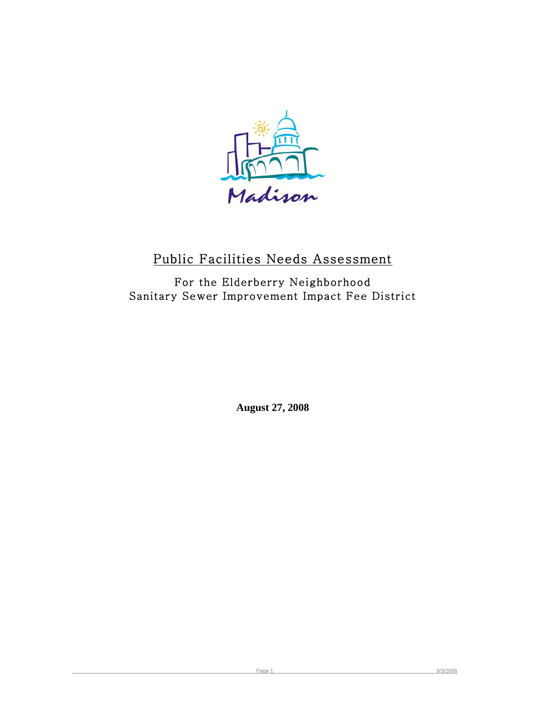

# Public Facilities Needs Assessment

For the Elderberry Neighborhood Sanitary Sewer Improvement Impact Fee District

**August 27, 2008**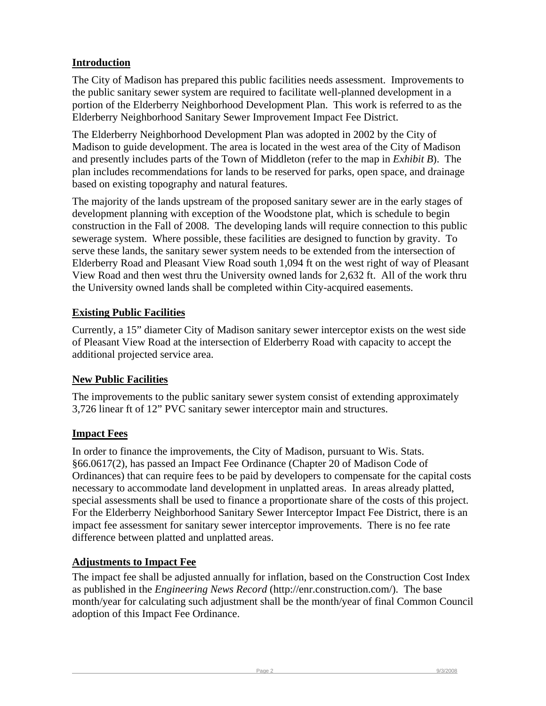### **Introduction**

The City of Madison has prepared this public facilities needs assessment. Improvements to the public sanitary sewer system are required to facilitate well-planned development in a portion of the Elderberry Neighborhood Development Plan. This work is referred to as the Elderberry Neighborhood Sanitary Sewer Improvement Impact Fee District.

The Elderberry Neighborhood Development Plan was adopted in 2002 by the City of Madison to guide development. The area is located in the west area of the City of Madison and presently includes parts of the Town of Middleton (refer to the map in *Exhibit B*). The plan includes recommendations for lands to be reserved for parks, open space, and drainage based on existing topography and natural features.

The majority of the lands upstream of the proposed sanitary sewer are in the early stages of development planning with exception of the Woodstone plat, which is schedule to begin construction in the Fall of 2008. The developing lands will require connection to this public sewerage system. Where possible, these facilities are designed to function by gravity. To serve these lands, the sanitary sewer system needs to be extended from the intersection of Elderberry Road and Pleasant View Road south 1,094 ft on the west right of way of Pleasant View Road and then west thru the University owned lands for 2,632 ft. All of the work thru the University owned lands shall be completed within City-acquired easements.

## **Existing Public Facilities**

Currently, a 15" diameter City of Madison sanitary sewer interceptor exists on the west side of Pleasant View Road at the intersection of Elderberry Road with capacity to accept the additional projected service area.

#### **New Public Facilities**

The improvements to the public sanitary sewer system consist of extending approximately 3,726 linear ft of 12" PVC sanitary sewer interceptor main and structures.

#### **Impact Fees**

In order to finance the improvements, the City of Madison, pursuant to Wis. Stats. §66.0617(2), has passed an Impact Fee Ordinance (Chapter 20 of Madison Code of Ordinances) that can require fees to be paid by developers to compensate for the capital costs necessary to accommodate land development in unplatted areas. In areas already platted, special assessments shall be used to finance a proportionate share of the costs of this project. For the Elderberry Neighborhood Sanitary Sewer Interceptor Impact Fee District, there is an impact fee assessment for sanitary sewer interceptor improvements. There is no fee rate difference between platted and unplatted areas.

#### **Adjustments to Impact Fee**

The impact fee shall be adjusted annually for inflation, based on the Construction Cost Index as published in the *Engineering News Record* (http://enr.construction.com/). The base month/year for calculating such adjustment shall be the month/year of final Common Council adoption of this Impact Fee Ordinance.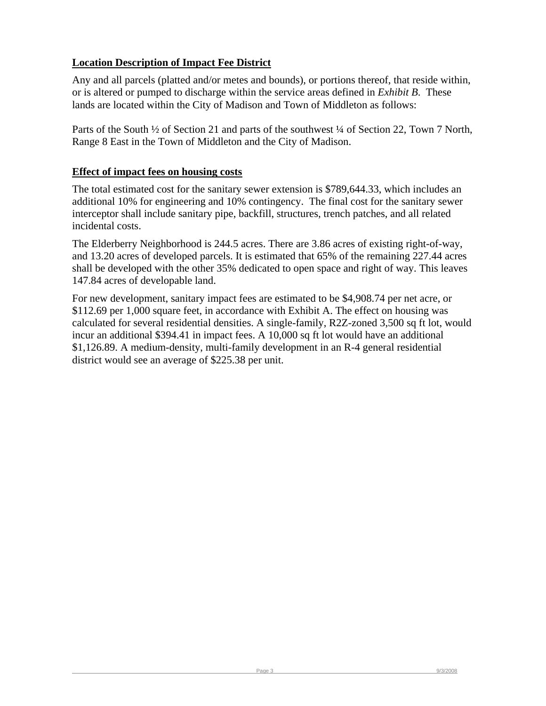#### **Location Description of Impact Fee District**

Any and all parcels (platted and/or metes and bounds), or portions thereof, that reside within, or is altered or pumped to discharge within the service areas defined in *Exhibit B*. These lands are located within the City of Madison and Town of Middleton as follows:

Parts of the South  $\frac{1}{2}$  of Section 21 and parts of the southwest  $\frac{1}{4}$  of Section 22, Town 7 North, Range 8 East in the Town of Middleton and the City of Madison.

#### **Effect of impact fees on housing costs**

The total estimated cost for the sanitary sewer extension is \$789,644.33, which includes an additional 10% for engineering and 10% contingency. The final cost for the sanitary sewer interceptor shall include sanitary pipe, backfill, structures, trench patches, and all related incidental costs.

The Elderberry Neighborhood is 244.5 acres. There are 3.86 acres of existing right-of-way, and 13.20 acres of developed parcels. It is estimated that 65% of the remaining 227.44 acres shall be developed with the other 35% dedicated to open space and right of way. This leaves 147.84 acres of developable land.

For new development, sanitary impact fees are estimated to be \$4,908.74 per net acre, or \$112.69 per 1,000 square feet, in accordance with Exhibit A. The effect on housing was calculated for several residential densities. A single-family, R2Z-zoned 3,500 sq ft lot, would incur an additional \$394.41 in impact fees. A 10,000 sq ft lot would have an additional \$1,126.89. A medium-density, multi-family development in an R-4 general residential district would see an average of \$225.38 per unit.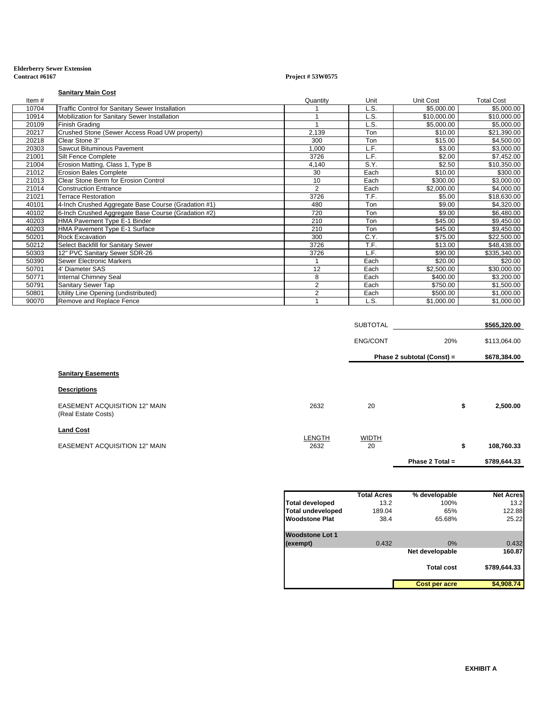#### **Elderberry Sewer Extension Contract #6167 Project # 53W0575**

**Sanitary Main Cost**

| Item# |                                                        | Quantity       | Unit | <b>Unit Cost</b> | <b>Total Cost</b> |
|-------|--------------------------------------------------------|----------------|------|------------------|-------------------|
| 10704 | <b>Traffic Control for Sanitary Sewer Installation</b> |                | L.S. | \$5.000.00       | \$5,000.00        |
| 10914 | Mobilization for Sanitary Sewer Installation           |                | L.S. | \$10,000.00      | \$10,000.00       |
| 20109 | Finish Grading                                         |                | L.S. | \$5,000.00       | \$5,000.00        |
| 20217 | Crushed Stone (Sewer Access Road UW property)          | 2,139          | Ton  | \$10.00          | \$21,390.00       |
| 20218 | Clear Stone 3"                                         | 300            | Ton  | \$15.00          | \$4,500.00        |
| 20303 | Sawcut Bituminous Pavement                             | 1,000          | L.F. | \$3.00           | \$3,000.00        |
| 21001 | Silt Fence Complete                                    | 3726           | L.F. | \$2.00           | \$7,452.00        |
| 21004 | Erosion Matting, Class 1, Type B                       | 4,140          | S.Y. | \$2.50           | \$10,350.00       |
| 21012 | <b>Erosion Bales Complete</b>                          | 30             | Each | \$10.00          | \$300.00          |
| 21013 | Clear Stone Berm for Erosion Control                   | 10             | Each | \$300.00         | \$3,000.00        |
| 21014 | <b>Construction Entrance</b>                           | $\overline{2}$ | Each | \$2,000.00       | \$4,000.00        |
| 21021 | <b>Terrace Restoration</b>                             | 3726           | T.F. | \$5.00           | \$18,630.00       |
| 40101 | 4-Inch Crushed Aggregate Base Course (Gradation #1)    | 480            | Ton  | \$9.00           | \$4,320.00        |
| 40102 | 6-Inch Crushed Aggregate Base Course (Gradation #2)    | 720            | Ton  | \$9.00           | \$6,480.00        |
| 40203 | HMA Pavement Type E-1 Binder                           | 210            | Ton  | \$45.00          | \$9,450.00        |
| 40203 | HMA Pavement Type E-1 Surface                          | 210            | Ton  | \$45.00          | \$9,450.00        |
| 50201 | <b>Rock Excavation</b>                                 | 300            | C.Y. | \$75.00          | \$22,500.00       |
| 50212 | Select Backfill for Sanitary Sewer                     | 3726           | T.F. | \$13.00          | \$48,438.00       |
| 50303 | 12" PVC Sanitary Sewer SDR-26                          | 3726           | L.F. | \$90.00          | \$335,340.00      |
| 50390 | Sewer Electronic Markers                               |                | Each | \$20.00          | \$20.00           |
| 50701 | 4' Diameter SAS                                        | 12             | Each | \$2,500.00       | \$30,000.00       |
| 50771 | <b>Internal Chimney Seal</b>                           | 8              | Each | \$400.00         | \$3,200.00        |
| 50791 | Sanitary Sewer Tap                                     | 2              | Each | \$750.00         | \$1,500.00        |
| 50801 | Utility Line Opening (undistributed)                   | $\overline{2}$ | Each | \$500.00         | \$1,000.00        |
| 90070 | Remove and Replace Fence                               |                | L.S. | \$1,000.00       | \$1,000.00        |

|                                                             |                | <b>SUBTOTAL</b>            |                   | \$565,320.00 |  |
|-------------------------------------------------------------|----------------|----------------------------|-------------------|--------------|--|
|                                                             |                | <b>ENG/CONT</b>            | 20%               | \$113,064.00 |  |
|                                                             |                | Phase 2 subtotal (Const) = |                   | \$678,384.00 |  |
| <b>Sanitary Easements</b>                                   |                |                            |                   |              |  |
| <b>Descriptions</b>                                         |                |                            |                   |              |  |
| <b>EASEMENT ACQUISITION 12" MAIN</b><br>(Real Estate Costs) | 2632           | 20                         | \$                | 2,500.00     |  |
| <b>Land Cost</b>                                            |                |                            |                   |              |  |
| <b>EASEMENT ACQUISITION 12" MAIN</b>                        | LENGTH<br>2632 | <b>WIDTH</b><br>20         | \$                | 108,760.33   |  |
|                                                             |                |                            | Phase 2 Total $=$ | \$789,644.33 |  |

|                          | <b>Total Acres</b> | % developable     | <b>Net Acres</b> |
|--------------------------|--------------------|-------------------|------------------|
| <b>Total developed</b>   | 13.2               | 100%              | 13.2             |
| <b>Total undeveloped</b> | 189.04             | 65%               | 122.88           |
| <b>Woodstone Plat</b>    | 38.4               | 65.68%            | 25.22            |
| <b>Woodstone Lot 1</b>   |                    |                   |                  |
| (exempt)                 | 0.432              | 0%                | 0.432            |
|                          |                    | Net developable   | 160.87           |
|                          |                    | <b>Total cost</b> | \$789.644.33     |
|                          |                    | Cost per acre     | \$4,908.74       |